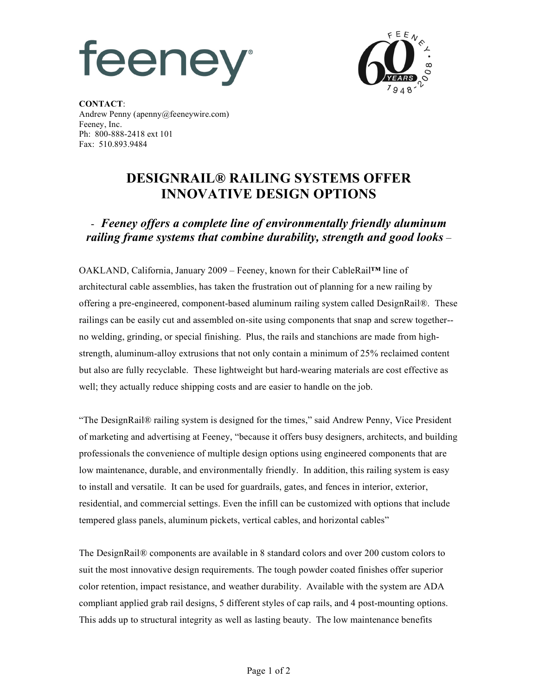## feeney



**CONTACT**: Andrew Penny (apenny@feeneywire.com) Feeney, Inc. Ph: 800-888-2418 ext 101 Fax: 510.893.9484

## **DESIGNRAIL® RAILING SYSTEMS OFFER INNOVATIVE DESIGN OPTIONS**

## - *Feeney offers a complete line of environmentally friendly aluminum railing frame systems that combine durability, strength and good looks –*

OAKLAND, California, January 2009 – Feeney, known for their CableRail**™** line of architectural cable assemblies, has taken the frustration out of planning for a new railing by offering a pre-engineered, component-based aluminum railing system called DesignRail®. These railings can be easily cut and assembled on-site using components that snap and screw together- no welding, grinding, or special finishing. Plus, the rails and stanchions are made from highstrength, aluminum-alloy extrusions that not only contain a minimum of 25% reclaimed content but also are fully recyclable. These lightweight but hard-wearing materials are cost effective as well; they actually reduce shipping costs and are easier to handle on the job.

"The DesignRail® railing system is designed for the times," said Andrew Penny, Vice President of marketing and advertising at Feeney, "because it offers busy designers, architects, and building professionals the convenience of multiple design options using engineered components that are low maintenance, durable, and environmentally friendly. In addition, this railing system is easy to install and versatile. It can be used for guardrails, gates, and fences in interior, exterior, residential, and commercial settings. Even the infill can be customized with options that include tempered glass panels, aluminum pickets, vertical cables, and horizontal cables"

The DesignRail® components are available in 8 standard colors and over 200 custom colors to suit the most innovative design requirements. The tough powder coated finishes offer superior color retention, impact resistance, and weather durability. Available with the system are ADA compliant applied grab rail designs, 5 different styles of cap rails, and 4 post-mounting options. This adds up to structural integrity as well as lasting beauty. The low maintenance benefits